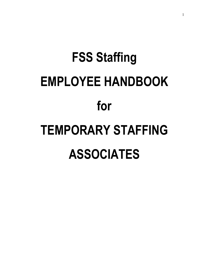# **FSS Staffing EMPLOYEE HANDBOOK for TEMPORARY STAFFING ASSOCIATES**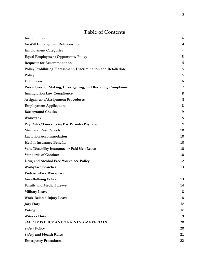# **Table of Contents**

| Introduction                                                   | 4  |
|----------------------------------------------------------------|----|
| At-Will Employment Relationship                                | 4  |
| <b>Employment Categories</b>                                   | 4  |
| <b>Equal Employment Opportunity Policy</b>                     | 5  |
| <b>Requests for Accommodation</b>                              | 5  |
| Policy Prohibiting Harassment, Discrimination and Retaliation  | 5  |
| Policy                                                         | 5  |
| Definitions                                                    | 6  |
| Procedures for Making, Investigating, and Resolving Complaints | 7  |
| <b>Immigration Law Compliance</b>                              | 8  |
| <b>Assignments/Assignment Procedures</b>                       | 8  |
| <b>Employment Applications</b>                                 | 8  |
| <b>Background Checks</b>                                       | 9  |
| Workweek                                                       | 9  |
| Pay Rates/Timesheets/Pay Periods/Paydays                       | 9  |
| <b>Meal and Rest Periods</b>                                   | 10 |
| <b>Lactation Accommodation</b>                                 | 10 |
| <b>Health Insurance Benefits</b>                               | 10 |
| <b>State Disability Insurance or Paid Sick Leave</b>           | 10 |
| <b>Standards of Conduct</b>                                    | 10 |
| Drug and Alcohol Free Workplace Policy                         | 12 |
| <b>Workplace Searches</b>                                      | 13 |
| Violence-Free Workplace                                        | 13 |
| <b>Anti-Bullying Policy</b>                                    | 13 |
| <b>Family and Medical Leave</b>                                | 14 |
| <b>Military Leave</b>                                          | 18 |
| <b>Work-Related Injury Leave</b>                               | 18 |
| <b>Jury Duty</b>                                               | 18 |
| Voting                                                         | 18 |
| <b>Witness Duty</b>                                            | 19 |
| SAFETY POLICY AND TRAINING MATERIALS                           | 20 |
| <b>Safety Policy</b>                                           | 20 |
| <b>Safety and Health Rules</b>                                 | 21 |
| <b>Emergency Procedures</b>                                    | 22 |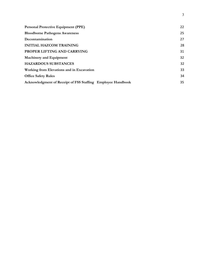| <b>Personal Protective Equipment (PPE)</b>                  | 22 |
|-------------------------------------------------------------|----|
| <b>Bloodborne Pathogens Awareness</b>                       | 25 |
| Decontamination                                             | 27 |
| <b>INITIAL HAZCOM TRAINING</b>                              | 28 |
| PROPER LIFTING AND CARRYING                                 | 31 |
| <b>Machinery and Equipment</b>                              | 32 |
| <b>HAZARDOUS SUBSTANCES</b>                                 | 32 |
| Working from Elevations and in Excavation                   | 33 |
| <b>Office Safety Rules</b>                                  | 34 |
| Acknowledgment of Receipt of FSS Staffing Employee Handbook | 35 |

3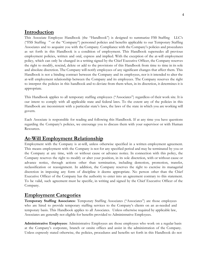## <span id="page-3-0"></span>**Introduction**

This Associate Employee Handbook (the "Handbook") is designed to summarize FSS Staffing LLC's ("FSS Staffing " or the "Company") personnel policies and benefits applicable to our Temporary Staffing Associates and to acquaint you with the Company. Compliance with the Company's policies and procedures as set forth in this Handbook is a condition of employment. This Handbook supersedes all previous employment policies, written and oral, express and implied. With the exception of the at-will employment policy, which can only be changed in a writing signed by the Chief Executive Officer, the Company reserves the right to modify, rescind, delete or add to the provisions of this Handbook from time to time in its sole and absolute discretion. The Company will notify employees of any significant changes that affect them. This Handbook is not a binding contract between the Company and its employees, nor is it intended to alter the at-will employment relationship between the Company and its employees. The Company reserves the right to interpret the policies in this handbook and to deviate from them when, in its discretion, it determines it is appropriate.

This Handbook applies to all temporary staffing employees ("Associates") regardless of their work site. It is our intent to comply with all applicable state and federal laws. To the extent any of the policies in this Handbook are inconsistent with a particular state's laws, the laws of the state in which you are working will govern.

Each Associate is responsible for reading and following this Handbook. If at any time you have questions regarding the Company's policies, we encourage you to discuss them with your supervisor or with Human Resources.

## <span id="page-3-1"></span>**At-Will Employment Relationship**

Employment with the Company is at-will, unless otherwise specified in a written employment agreement. This means employment with the Company is not for any specified period and may be terminated by you or the Company at any time, with or without cause or advance notice. In connection with this policy, the Company reserves the right to modify or alter your position, in its sole discretion, with or without cause or advance notice, through actions other than termination, including demotion, promotion, transfer, reclassification or reassignment. In addition, the Company reserves the right to exercise its managerial discretion in imposing any form of discipline it deems appropriate. No person other than the Chief Executive Officer of the Company has the authority to enter into an agreement contrary to this statement. To be valid, such agreement must be specific, in writing and signed by the Chief Executive Officer of the Company.

## <span id="page-3-2"></span>**Employment Categories**

**Temporary Staffing Associates:** Temporary Staffing Associates ("Associates") are those employees who are hired to provide temporary staffing services to the Company's clients on an as-needed and temporary basis. This Handbook applies to all Associates. Unless otherwise required by applicable law, Associates are generally not eligible for benefits provided to Administrative Employees.

**Administrative Employees**: Administrative Employees are those employees who work on a regular basis at the Company's corporate, branch or onsite offices and assist in the administration of the Company. Unless expressly stated otherwise, the policies, procedures and benefits set forth in this Handbook do not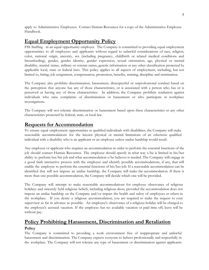apply to Administrative Employees. Contact Human Resources for a copy of the Administrative Employee Handbook.

## <span id="page-4-0"></span>**Equal Employment Opportunity Policy**

FSS Staffing in an equal opportunity employer. The Company is committed to providing equal employment opportunities to all employees and applicants without regard to unlawful considerations of race, religion, color, national origin, ancestry, sex (including pregnancy, childbirth or related medical conditions and breastfeeding), gender, gender identity, gender expression, sexual orientation, age, physical or mental disability, marital status, military or veteran status, genetic information or any other classification protected by applicable local, state or federal laws. This policy applies to all aspects of employment, including, but not limited to, hiring, job assignment, compensation, promotion, benefits, training, discipline and termination.

The Company also prohibits discrimination, harassment, disrespectful or unprofessional conduct based on the perception that anyone has any of those characteristics, or is associated with a person who has or is perceived as having any of those characteristics. In addition, the Company prohibits retaliation against individuals who raise complaints of discrimination or harassment or who participate in workplace investigations.

The Company will not tolerate discrimination or harassment based upon these characteristics or any other characteristics protected by federal, state, or local law.

## <span id="page-4-1"></span>**Requests for Accommodation**

To ensure equal employment opportunities to qualified individuals with disabilities, the Company will make reasonable accommodations for the known physical or mental limitations of an otherwise qualified individual with a disability who is an applicant or an employee unless undue hardship would result.

Any employee or applicant who requires an accommodation in order to perform the essential functions of the job should contact Human Resources. The employee should specify in what way s/he is limited in his/her ability to perform her/his job and what accommodation s/he believes is needed. The Company will engage in a good faith interactive process with the employee and identify possible accommodations, if any, that will enable the employee to perform the essential functions of his/her job. If a reasonable accommodation can be identified that will not impose an undue hardship, the Company will make the accommodation. If there is more than one possible accommodation, the Company will decide which one will be provided.

The Company will attempt to make reasonable accommodations for employee observance of religious holidays and sincerely held religious beliefs, including religious dress, provided the accommodation does not impose an undue hardship on the Company and/or impact the health and safety of employees or others in the workplace. If you desire a religious accommodation, you are required to make the request to your supervisor as far in advance as possible. An employee's observance of a religious holiday will be charged to the employee's accrued vacation. If the employee has no available vacation or paid time off, leave will be without pay.

# <span id="page-4-2"></span>**Policy Prohibiting Harassment, Discrimination and Retaliation**

#### <span id="page-4-3"></span>**Policy**

The Company is committed to providing a work environment free of inappropriate and unlawful harassment and discrimination. The Company expects everyone to behave professionally and respectfully in the workplace. The Company will not tolerate any type of harassment or discrimination against applicants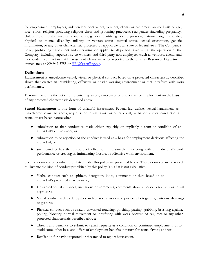for employment, employees, independent contractors, vendors, clients or customers on the basis of age, race, color, religion (including religious dress and grooming practices), sex/gender (including pregnancy, childbirth, or related medical conditions), gender identity, gender expression, national origin, ancestry, physical or mental disability, military or veteran status, marital status, sexual orientation, genetic information, or any other characteristic protected by applicable local, state or federal laws. The Company's policy prohibiting harassment and discrimination applies to all persons involved in the operation of the Company, including supervisors, co-workers, and third-party non-employees (such as vendors, clients and independent contractors). All harassment claims are to be reported to the Human Resources Department immediately at 909-947-3755 or [HR@fssstaffing.](mailto:HR@fullsteamstaffing.com)biz.

#### <span id="page-5-0"></span>**Definitions**

**Harassment** is unwelcome verbal, visual or physical conduct based on a protected characteristic described above that creates an intimidating, offensive or hostile working environment or that interferes with work performance.

**Discrimination** is the act of differentiating among employees or applicants for employment on the basis of any protected characteristic described above.

**Sexual Harassment** is one form of unlawful harassment. Federal law defines sexual harassment as: Unwelcome sexual advances, requests for sexual favors or other visual, verbal or physical conduct of a sexual or sex-based nature when:

- submission to that conduct is made either explicitly or implicitly a term or condition of an individual's employment; or
- submission to or rejection of the conduct is used as a basis for employment decisions affecting the individual; or
- such conduct has the purpose of effect of unreasonably interfering with an individual's work performance or creating an intimidating, hostile, or offensive work environment.

Specific examples of conduct prohibited under this policy are presented below. These examples are provided to illustrate the kind of conduct prohibited by this policy. This list is not exhaustive.

- Verbal conduct such as epithets, derogatory jokes, comments or slurs based on an individual's protected characteristic;
- Unwanted sexual advances, invitations or comments, comments about a person's sexuality or sexual experience;
- Visual conduct such as derogatory and/or sexually-oriented posters, photography, cartoons, drawings or gestures;
- Physical conduct such as assault, unwanted touching, pinching, patting, grabbing, brushing against, poking, blocking normal movement or interfering with work because of sex, race or any other protected characteristic described above;
- Threats and demands to submit to sexual requests as a condition of continued employment, or to avoid some other loss, and offers of employment benefits in return for sexual favors; and/or
- Retaliation for having reported or threatened to report harassment.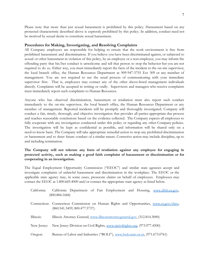Please note that more than just sexual harassment is prohibited by this policy. Harassment based on any protected characteristic described above is expressly prohibited by this policy. In addition, conduct need not be motived by sexual desire to constitute sexual harassment.

#### <span id="page-6-0"></span>**Procedures for Making, Investigating, and Resolving Complaints**

All Company employees are responsible for helping to ensure that the work environment is free from prohibited harassment and discrimination. If you believe you have been discriminated against, or subjected to sexual or other harassment in violation of this policy, by an employee or a non-employee, you may inform the offending party that his/her conduct is unwelcome and tell that person to stop the behavior but you are not required to do so. Either way, you must immediately report the facts of the incident to the on-site supervisor, the local branch office, the Human Resources Department at 909-947-3755 Ext 309 or any member of management. You are not required to use the usual process of communicating with your immediate supervisor first. That is, employees may contact any of the other above-listed management individuals directly. Complaints will be accepted in writing or orally. Supervisors and managers who receive complaints must immediately report such complaints to Human Resources.

Anyone who has observed discrimination, harassment or retaliation must also report such conduct immediately to the on-site supervisor, the local branch office, the Human Resources Department or any member of management. Reported incidents will be promptly and thoroughly investigated. Company will conduct a fair, timely, thorough, and objective investigation that provides all parties appropriate due process and reaches reasonable conclusions based on the evidence collected. The Company expects all employees to fully cooperate with any investigation conducted under this policy or regarding any other Company policies. The investigation will be kept as confidential as possible, and information will be shared only on a need-to-know basis. The Company will take appropriate remedial action to stop any prohibited discrimination or harassment and to deter future conduct of a similar nature. Corrective action may include discipline, up to and including termination.

#### **The Company will not tolerate any form of retaliation against any employee for engaging in protected activity, such as making a good faith complaint of harassment or discrimination or for cooperating in an investigation.**

The Equal Employment Opportunity Commission ("EEOC") and similar state agencies accept and investigate complaints of unlawful harassment and discrimination in the workplace. The EEOC or the applicable state agency may, in some cases, prosecute claims on behalf of employees. Employees may contact the EEOC at 1.800.669.4000 and/or contact the appropriate state agency as listed below.

| California: | California Department of Fair Employment and Housing, www.dfeh.ca.gov,                                                   |
|-------------|--------------------------------------------------------------------------------------------------------------------------|
|             | (800.884.1684)                                                                                                           |
|             | Connecticut: Connecticut Commission on Human Rights and Opportunities, www.ct.gov/chro,<br>(860.541.3459, 800.477.5737). |
| Illinois:   | Illinois Attorney General, www.illinoisattorneygeneral.gov. (312.814.3000)                                               |
| New Jersey: | New Jersey Division on Civil Rights, www.njcivilrights.org, (973.977.4500)                                               |
| Oregon:     | Bureau of Labor and Industries ("BOLI"), www.boli.state.or.us, (971.673.0761)                                            |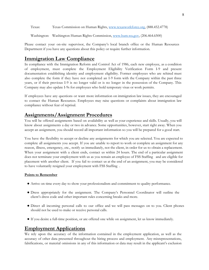Texas: Texas Commission on Human Rights, [www.texasworkforce.org](http://www.texasworkforce.org/), (888.452.4778)

Washington: Washington Human Rights Commission, [www.hum.wa.gov](http://www.hum.wa.gov/), (206.464.6500)

Please contact your on-site supervisor, the Company's local branch office or the Human Resources Department if you have any questions about this policy or require further information.

# <span id="page-7-0"></span>**Immigration Law Compliance**

In compliance with the Immigration Reform and Control Act of 1986, each new employee, as a condition of employment, must complete the Employment Eligibility Verification Form I-9 and present documentation establishing identity and employment eligibility. Former employees who are rehired must also complete the form if they have not completed an I-9 form with the Company within the past three years, or if their previous I-9 is no longer valid or is no longer in the possession of the Company. This Company may also update I-9s for employees who hold temporary visas or work permits.

If employees have any questions or want more information on immigration law issues, they are encouraged to contact the Human Resources. Employees may raise questions or complaints about immigration law compliance without fear of reprisal.

## <span id="page-7-1"></span>**Assignments/Assignment Procedures**

You will be offered assignments based on availability as well as your experience and skills. Usually, you will know about assignments a day or two in advance. Some opportunities, however, start right away. When you accept an assignment, you should record all important information so you will be prepared for a good start.

You have the flexibility to accept or decline any assignments for which you are selected. You are expected to complete all assignments you accept. If you are unable to report to work or complete an assignment for any reason, illness, emergency, etc., notify us immediately, not the client, in order for us to obtain a replacement. When your assignment with a client ends, contact us within 24 hours. The end of a particular assignment does not terminate your employment with us as you remain an employee of FSS Staffing and are eligible for placement with another client. If you fail to contact us at the end of an assignment, you may be considered to have voluntarily resigned your employment with FSS Staffing .

#### **Points to Remember**

- Arrive on time every day to show your professionalism and commitment to quality performance.
- Dress appropriately for the assignment. The Company's Personnel Coordinator will outline the client's dress code and other important rules concerning breaks and more.
- Direct all incoming personal calls to our office and we will pass messages on to you. Client phones should not be used to make or receive personal calls.
- If you desire a full-time position, or are offered one while on assignment, let us know immediately.

## <span id="page-7-2"></span>**Employment Applications**

We rely upon the accuracy of the information contained in the employment application, as well as the accuracy of other data presented throughout the hiring process and employment. Any misrepresentations, falsifications, or material omissions in any of this information or data may result in the applicant's exclusion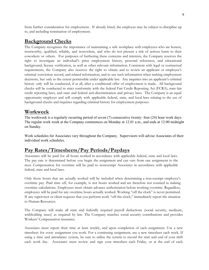from further consideration for employment. If already hired, the employee may be subject to discipline up to, and including termination of employment.

## <span id="page-8-0"></span>**Background Checks**

The Company recognizes the importance of maintaining a safe workplace with employees who are honest, trustworthy, qualified, reliable, and nonviolent, and who do not present a risk of serious harm to their coworkers or others. For purposes of furthering these concerns and interests, the Company reserves the right to investigate an individual's prior employment history, personal references, and educational background, license verification, as well as other relevant information. Consistent with legal or contractual requirements, the Company also reserves the right to obtain and to review an applicant or employee's criminal conviction record, and related information, and to use such information when making employment decisions, but only to the extent permissible under applicable law. Any inquiries into an applicant's criminal history only will be conducted, if at all, after a conditional offer of employment is made. All background checks will be conducted in strict conformity with the federal Fair Credit Reporting Act (FCRA), state fair credit reporting laws, and state and federal anti-discrimination and privacy laws. The Company is an equal opportunity employer and will comply with applicable federal, state, and local laws relating to the use of background checks and inquiries regarding criminal history for employment purposes.

## <span id="page-8-1"></span>**Workweek**

The workweek is a regularly recurring period of seven (7) consecutive twenty- four (24) hour work days. The regular work week at the Company commences on Monday at 12.01 a.m., and ends at 12:00 midnight on Sunday.

Work schedules for Associates vary throughout the Company. Supervisors will advise Associates of their individual work schedules.

## <span id="page-8-2"></span>**Pay Rates/Timesheets/Pay Periods/Paydays**

Associates will be paid for all hours worked in accordance with applicable federal, state and local laws. The pay rate is determined before you begin the assignment and can vary from one assignment to the next. Compensation for overtime will be paid to nonexempt Associates in accordance with applicable federal, state and local laws.

Only those hours that are actually worked will be included when determining a non-exempt employee's overtime pay. Paid time off, for example, is not hours worked and are therefore not counted in making overtime calculations. Employees must obtain advance authorization before working overtime. Regardless, employees will be paid for any overtime hours actually worked. Working "off the clock" is never permitted. If any supervisor or client requests that you perform work "off-the-clock," immediately report the situation to Human Resources.

The Company will make all state and federally required payroll deductions (social security, medicare, withholding taxes) as required by law. The Company matches social security contributions and provides Workers' Compensation insurance.

Associates must report their time at least weekly, and upon completion of each assignment. Use a new timesheet for every assignment you work. For a continuing assignment, use a new timesheet each week. If using a time and attendance system, be sure to utilize the system to record the start and end of your shift each work day. Associates must review and sign your timesheet each Friday, or at the end of each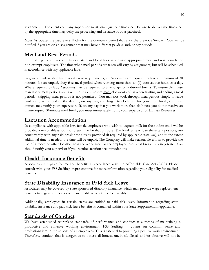assignment. The client company supervisor must also sign your timesheet. Failure to deliver the timesheet by the appropriate time may delay the processing and issuance of your paycheck.

Most Associates are paid every Friday for the one-week period that ends the previous Sunday. You will be notified if you are on an assignment that may have different paydays and/or pay periods.

## <span id="page-9-0"></span>**Meal and Rest Periods**

FSS Staffing complies with federal, state and local laws in allowing appropriate meal and rest periods for non-exempt employees. The time when meal periods are taken will vary by assignment, but will be scheduled in accordance with any applicable laws.

In general, unless state law has different requirements, all Associates are required to take a minimum of 30 minutes for an unpaid, duty-free meal period when working more than six (6) consecutive hours in a day. Where required by law, Associates may be required to take longer or additional breaks. To ensure that these mandatory meal periods are taken, hourly employees must clock-out and in when starting and ending a meal period. Skipping meal periods is not permitted. You may not work through meal periods simply to leave work early at the end of the day. If, on any day, you forget to clock out for your meal break, you must immediately notify your supervisor. If, on any day that you work more than six hours, you do not receive an uninterrupted 30-minute meal break, you must immediately notify your supervisor or Human Resources.

## <span id="page-9-1"></span>**Lactation Accommodation**

In compliance with applicable law, female employees who wish to express milk for their infant child will be provided a reasonable amount of break time for that purpose. The break time will, to the extent possible, run concurrently with any paid break time already provided (if required by applicable state law), and to the extent additional time is needed, the time will be unpaid. The Company will make reasonable efforts to provide the use of a room or other location near the work area for the employee to express breast milk in private. You should notify your supervisor if you require lactation accommodations.

## <span id="page-9-2"></span>**Health Insurance Benefits**

Associates are eligible for medical benefits in accordance with the Affordable Care Act (ACA). Please consult with your FSS Staffing representative for more information regarding your eligibility for medical benefits.

## <span id="page-9-3"></span>**State Disability Insurance or Paid Sick Leave**

Associates may be covered by state-sponsored disability insurance, which may provide wage replacement benefits to eligible employees who are unable to work due to disability.

Additionally, employees in certain states are entitled to paid sick leave. Information regarding state disability insurance and paid sick leave benefits is contained within your State Supplement, if applicable.

## <span id="page-9-4"></span>**Standards of Conduct**

We have established workplace standards of performance and conduct as a means of maintaining a productive and cohesive working environment. FSS Staffing counts on common sense and professionalism in the actions of all employees. This is essential to providing a positive work environment. Therefore, conduct that is dangerous to others, dishonest, unethical, illegal, and/or abusive will not be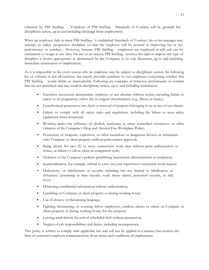tolerated by FSS Staffing . Violations of FSS Staffing Standards of Conduct will be grounds for disciplinary action, up to and including discharge from employment.

When an employee fails to meet FSS Staffing 's established Standards of Conduct, his or her manager may attempt to utilize progressive discipline so that the employee will be assisted in improving his or her performance or conduct. However, because FSS Staffing employees are employed at-will and can be terminated or resign at any time for any or no reason, FSS Staffing reserves the right to impose any type of discipline it deems appropriate, as determined by the Company in its sole discretion, up to and including immediate termination of employment.

As it is impossible to list every reason why an employee may be subject to disciplinary action, the following list of offenses is not all-inclusive, but merely provides guidance to our employees concerning conduct that FSS Staffing would define as unacceptable. Following are examples of behavior, performance or conduct that are not permitted and may result in disciplinary action, up to and including termination:

- Excessive unexcused absenteeism, tardiness or any absence without notice, including failure to report to an assignment, unless due to exigent circumstances (e.g., illness or injury);
- Unauthorized possession, use, theft or removal of property belonging to us or any of our clients;
- Failure to comply with all safety rules and regulations, including the failure to wear safety equipment when instructed;
- Working under the influence of alcohol, marijuana or other controlled substances, or other violation of the Company's Drug and Alcohol Free Workplace Policy;
- Possession of weapons, explosives, or other hazardous or dangerous devices or substances onto Company or client property without prior written approval;
- Being absent for two (2) or more consecutive work days without prior authorization or notice, or failure to call us when an assignment ends;
- Violation of the Company's policies prohibiting harassment, discrimination or retaliation;
- Insubordination, for example, refusal to carry out your supervisor's reasonable work request
- Dishonesty, or falsification of records, including but not limited to falsification or dishonesty pertaining to time records, work injury claims, personnel records, or sick leave;
- Disclosing confidential information without authorization;
- Gambling on Company or client property or during working hours;
- Use of abusive or threatening language;
- Fighting, threatening, or coercing fellow employees, vendors, clients or others on Company or client property or during working hours, for any purpose;
- Leaving work before the end of scheduled shift without permission;
- Neglect of job responsibilities and duties, including incompetence.

This policy is written to comply with applicable law and will not be applied in a manner that restricts the flow of concerted employee communication about terms and conditions of employment.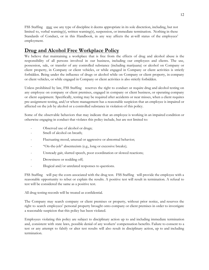FSS Staffing may use any type of discipline it deems appropriate in its sole discretion, including, but not limited to, verbal warning(s), written warning(s), suspension, or immediate termination. Nothing in these Standards of Conduct, or in this Handbook, in any way affects the at-will status of the employees' employment.

## <span id="page-11-0"></span>**Drug and Alcohol Free Workplace Policy**

We believe that maintaining a workplace that is free from the effects of drug and alcohol abuse is the responsibility of all persons involved in our business, including our employees and clients. The use, possession, sale, or transfer of any controlled substance (including marijuana) or alcohol on Company or client property, in Company or client vehicles, or while engaged in Company or client activities is strictly forbidden. Being under the influence of drugs or alcohol while on Company or client property, in company or client vehicles, or while engaged in Company or client activities is also strictly forbidden.

Unless prohibited by law, FSS Staffing reserves the right to conduct or require drug and alcohol testing on any employee on company or client premises, engaged in company or client business, or operating company or client equipment. Specifically, testing may be required after accidents or near misses, when a client requires pre-assignment testing, and/or where management has a reasonable suspicion that an employee is impaired or affected on the job by alcohol or a controlled substance in violation of this policy.

Some of the observable behaviors that may indicate that an employee is working in an impaired condition or otherwise engaging in conduct that violates this policy include, but are not limited to:

- Observed use of alcohol or drugs;
- Smell of alcohol on breath;
- Fluctuating mood, unusual or aggressive or abnormal behavior;
- "On-the-job" absenteeism (e.g., long or excessive breaks);
- Unsteady gait, slurred speech, poor coordination or slowed reactions;
- Drowsiness or nodding off;
- Illogical and/or unrelated responses to questions.

FSS Staffing will pay the costs associated with the drug test. FSS Staffing will provide the employee with a reasonable opportunity to rebut or explain the results. A positive test will result in termination. A refusal to test will be considered the same as a positive test.

All drug testing-records will be treated as confidential.

The Company may search company or client premises or property, without prior notice, and reserves the right to search employees' personal property brought onto company or client premises in order to investigate a reasonable suspicion that this policy has been violated.

Employees violating this policy are subject to disciplinary action up to and including immediate termination and, consistent with state laws, possible denial of any workers' compensation benefits. Failure to consent to a test or any attempt to falsify or alter test results will also result in disciplinary action, up to and including termination.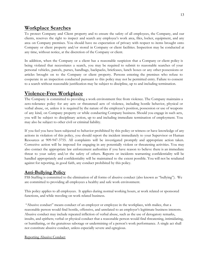## <span id="page-12-0"></span>**Workplace Searches**

To protect Company and Client property and to ensure the safety of all employees, the Company, and our clients, reserves the right to inspect and search any employee's work area, files, locker, equipment, and any area on Company premises. You should have no expectation of privacy with respect to items brought onto Company or client property and/or stored in Company or client facilities. Inspection may be conducted at any time, without notice, at the discretion of the Company or client.

In addition, when the Company or a client has a reasonable suspicion that a Company or client policy is being violated that necessitates a search, you may be required to submit to reasonable searches of your personal vehicles, parcels, purses, handbags, backpacks, briefcases, lunch boxes or any other possessions or articles brought on to the Company or client property. Persons entering the premises who refuse to cooperate in an inspection conducted pursuant to this policy may not be permitted entry. Failure to consent to a search without reasonable justification may be subject to discipline, up to and including termination.

## <span id="page-12-1"></span>**Violence-Free Workplace**

The Company is committed to providing a work environment free from violence. The Company maintains a zero-tolerance policy for any acts or threatened acts of violence, including hostile behavior, physical or verbal abuse, or, unless it is required by the nature of the employee's position, possession or use of weapons of any kind, on Company property or while conducting Company business. Should you engage in such acts, you will be subject to disciplinary action, up to and including immediate termination of employment. You may also be subject to other civil or criminal liability.

If you feel you have been subjected to behavior prohibited by this policy or witness or have knowledge of any actions in violation of this policy, you should report the incident immediately to your Supervisor or Human Resources at 909-947-3755. All complaints will be investigated promptly and appropriate action taken. Corrective action will be imposed for engaging in any potentially violent or threatening activities. You may also contact the appropriate law enforcement authorities if you have reason to believe there is an immediate threat to your safety and/or the safety of others. Reports or incidents warranting confidentiality will be handled appropriately and confidentiality will be maintained to the extent possible. You will not be retaliated against for reporting, in good faith, any conduct prohibited by this policy.

## **Anti-Bullying Policy**

FSS Staffing is committed to the elimination of all forms of abusive conduct (also known as "bullying"). We are committed to providing all employees a healthy and safe work environment.

This policy applies to all employees. It applies during normal working hours, at work related or sponsored functions, and while traveling on work related business.

"Abusive conduct" means conduct of an employer or employee in the workplace, with malice, that a reasonable person would find hostile, offensive, and unrelated to an employer's legitimate business interests. Abusive conduct may include repeated infliction of verbal abuse, such as the use of derogatory remarks, insults, and epithets; verbal or physical conduct that a reasonable person would find threatening, intimidating, or humiliating, or the gratuitous sabotage or undermining of a person's work performance. A single act shall not constitute abusive conduct, unless especially severe and egregious.

#### Reporting Abusive Conduct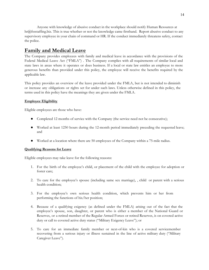Anyone with knowledge of abusive conduct in the workplace should notify Human Resources at hr@fssstaffing.biz. This is true whether or not the knowledge came firsthand. Report abusive conduct to any supervisory employee in your chain of command or HR. If the conduct immediately threatens safety, contact the police.

## <span id="page-13-0"></span>**Family and Medical Leave**

The Company provides employees with family and medical leave in accordance with the provisions of the Federal Medical Leave Act ("FMLA") . The Company complies with all requirements of similar local and state laws in areas where it operates or does business. If a local or state law entitles an employee to more generous benefits than provided under this policy, the employee will receive the benefits required by the applicable law.

This policy provides an overview of the leave provided under the FMLA, but is not intended to diminish or increase any obligations or rights set for under such laws. Unless otherwise defined in this policy, the terms used in this policy have the meanings they are given under the FMLA.

#### **Employee Eligibility**

Eligible employees are those who have:

- Completed 12 months of service with the Company (the service need not be consecutive);
- Worked at least 1250 hours during the 12-month period immediately preceding the requested leave; and
- Worked at a location where there are 50 employees of the Company within a 75-mile radius.

#### **Qualifying Reasons for Leave**

Eligible employees may take leave for the following reasons:

- 1. For the birth of the employee's child, or placement of the child with the employee for adoption or foster care;
- 2. To care for the employee's spouse (including same sex marriage), , child or parent with a serious health condition;
- 3. For the employee's own serious health condition, which prevents him or her from performing the functions of his/her position;
- 4. Because of a qualifying exigency (as defined under the FMLA) arising out of the fact that the employee's spouse, son, daughter, or parent who is either a member of the National Guard or Reserves, or a retired member of the Regular Armed Forces or retired Reserves, is on covered active duty or call to covered active duty status ("Military Exigency Leave"); or
- 5. To care for an immediate family member or next-of-kin who is a covered servicemember recovering from a serious injury or illness sustained in the line of active military duty ("Military Caregiver Leave").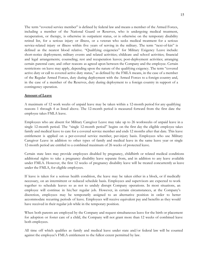The term "covered service member" is defined by federal law and means a member of the Armed Forces, including a member of the National Guard or Reserves, who is undergoing medical treatment, recuperation, or therapy, is otherwise in outpatient status, or is otherwise on the temporary disability retired list, for a serious injury or illness, or a veteran who seeks medical treatment for a serious service-related injury or illness within five years of serving in the military. The term "next-of-kin" is defined as the nearest blood relative. "Qualifying exigencies" for Military Exigency Leave include: short-notice deployment; military events and related activities; childcare and school activities; financial and legal arrangements; counseling; rest and recuperation leaves; post-deployment activities; arranging certain parental care; and other reasons as agreed upon between the Company and the employee. Certain restrictions on leave may apply, depending upon the nature of the qualifying exigency. The term "covered active duty or call to covered active duty status," as defined by the FMLA means, in the case of a member of the Regular Armed Forces, duty during deployment with the Armed Forces to a foreign country and, in the case of a member of the Reserves, duty during deployment to a foreign country in support of a contingency operation.

#### **Amount of Leave**

A maximum of 12 work weeks of unpaid leave may be taken within a 12-month period for any qualifying reasons 1 through 4 as listed above. The 12-month period is measured forward from the first date the employee takes FMLA leave.

Employees who are absent for Military Caregiver Leave may take up to 26 workweeks of unpaid leave in a single 12-month period. The "single 12-month period" begins on the first day the eligible employee takes family and medical leave to care for a covered service member and ends 12 months after that date. This leave entitlement is applied on a per-covered service member, per-injury basis. Employees who use Military Caregiver Leave in addition to other types of family and medical leave in the same leave year or single 12-month period are entitled to a combined maximum of 26 weeks of protected leave.

Certain state laws may provide employees disabled by pregnancy, childbirth or related medical conditions additional rights to take a pregnancy disability leave separate from, and in addition to any leave available under FMLA. However, the first 12 weeks of pregnancy disability leave will be treated concurrently as leave under the FMLA, for eligible employees.

If leave is taken for a serious health condition, the leave may be taken either in a block, or if medically necessary, on an intermittent or reduced schedule basis. Employees and supervisors are expected to work together to schedule leaves so as not to unduly disrupt Company operations. In most situations, an employee will continue in his/her regular job. However, in certain circumstances, at the Company's discretion, employees may be temporarily assigned to an alternative position in order to better accommodate recurring periods of leave. Employees will receive equivalent pay and benefits as they would have received in their regular job while in the temporary position.

When both parents are employed by the Company and request simultaneous leave for the birth or placement for adoption or foster care of a child, the Company will not grant more than 12 weeks of combined leave both employees.

All time off which qualifies as family and medical leave under state and/or federal law will be counted against the employee's FMLA entitlement to the fullest extent permitted by law.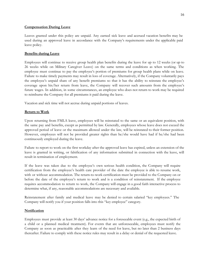#### **Compensation During Leave**

Leaves granted under this policy are unpaid. Any earned sick leave and accrued vacation benefits may be used during an approved leave in accordance with the Company's requirements under the applicable paid leave policy.

#### **Benefits during Leave**

Employees will continue to receive group health plan benefits during the leave for up to 12 weeks (or up to 26 weeks while on Military Caregiver Leave) on the same terms and conditions as when working. The employee must continue to pay the employee's portion of premiums for group health plans while on leave. Failure to make timely payments may result in loss of coverage. Alternatively, if the Company voluntarily pays the employee's unpaid share of any benefit premiums so that it has the ability to reinstate the employee's coverage upon his/her return from leave, the Company will recover such amounts from the employee's future wages. In addition, in some circumstances, an employee who does not return to work may be required to reimburse the Company for all premiums it paid during the leave.

Vacation and sick time will not accrue during unpaid portions of leaves.

#### **Return to Work**

Upon returning from FMLA leave, employees will be reinstated to the same or an equivalent position, with the same pay and benefits, except as permitted by law. Generally, employees whose leave does not exceed the approved period of leave or the maximum allowed under the law, will be reinstated to their former position. However, employees will not be provided greater rights than he/she would have had if he/she had been continuously employed during the leave.

Failure to report to work on the first workday after the approved leave has expired, unless an extension of the leave is granted in writing, or falsification of any information submitted in connection with the leave, will result in termination of employment.

If the leave was taken due to the employee's own serious health condition, the Company will require certification from the employee's health care provider of the date the employee is able to resume work, with or without accommodation. The return-to-work certification must be provided to the Company on or before the date of the employee's return to work and is a condition of reinstatement. If the employee requires accommodation to return to work, the Company will engage in a good faith interactive process to determine what, if any, reasonable accommodations are necessary and available.

Reinstatement after family and medical leave may be denied to certain salaried "key employees." The Company will notify you if your position falls into this "key employee" category.

#### **Notification**

Employees must provide at least 30 days' advance notice for a foreseeable event (e.g., the expected birth of a child or a planned medical treatment). For events that are unforeseeable, employees must notify the Company as soon as practicable after they learn of the need for leave, but no later than 2 business days thereafter. Failure to comply with these notice rules may result in a delay or denial of the requested leave.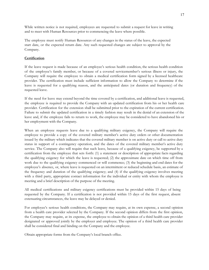While written notice is not required, employees are requested to submit a request for leave in writing and to meet with Human Resources prior to commencing the leave where possible.

The employee must notify Human Resources of any changes in the status of the leave, the expected start date, or the expected return date. Any such requested changes are subject to approval by the Company.

#### **Certification**

If the leave request is made because of an employee's serious health condition, the serious health condition of the employee's family member, or because of a covered servicemember's serious illness or injury, the Company will require the employee to obtain a medical certification form signed by a licensed healthcare provider. The certification must include sufficient information to allow the Company to determine if the leave is requested for a qualifying reason, and the anticipated dates (or duration and frequency) of the requested leave.

If the need for leave may extend beyond the time covered by a certification, and additional leave is requested, the employee is required to provide the Company with an updated certification from his or her health care provider. Certification for the extension shall be submitted prior to the expiration of the current certification. Failure to submit the updated certification in a timely fashion may result in the denial of an extension of the leave and, if the employee fails to return to work, the employee may be considered to have abandoned his or her employment with the Company.

When an employee requests leave due to a qualifying military exigency, the Company will require the employee to provide a copy of the covered military member's active duty orders or other documentation issued by the military which indicates that the covered military member is on active duty or call to active duty status in support of a contingency operation, and the dates of the covered military member's active duty service. The Company also will require that such leave, because of a qualifying exigency, be supported by a certification from the employee that sets forth: (1) a statement or description of appropriate facts regarding the qualifying exigency for which the leave is requested; (2) the approximate date on which time off from work due to the qualifying exigency commenced or will commence; (3) the beginning and end dates for the employee's absence, or, where leave is requested on an intermittent or reduced schedule basis, an estimate of the frequency and duration of the qualifying exigency; and (4) if the qualifying exigency involves meeting with a third party, appropriate contact information for the individual or entity with whom the employee is meeting and a brief description of the purpose of the meeting.

All medical certifications and military exigency certifications must be provided within 15 days of being requested by the Company. If a certification is not provided within 15 days of the first request, absent extenuating circumstances, the leave may be delayed or denied.

For employee's serious health conditions, the Company may require, at its own expense, a second opinion from a health care provider selected by the Company. If the second opinion differs from the first opinion, the Company may require, at its expense, the employee to obtain the opinion of a third health care provider designated or approved jointly by the employer and employee. The opinion of a third health care provider shall be considered final and binding on the Company and the employee.

Obtain appropriate forms from the Company's local branch office.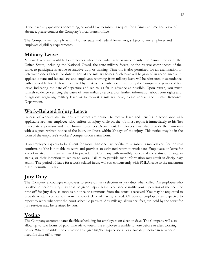If you have any questions concerning, or would like to submit a request for a family and medical leave of absence, please contact the Company's local branch office.

The Company will comply with all other state and federal leave laws, subject to any employer and employee eligibility requirements.

# <span id="page-17-0"></span>**Military Leave**

Military leaves are available to employees who enter, voluntarily or involuntarily, the Armed Forces of the United States, including the National Guard, the state military forces, or the reserve components of the same, to participate in active or inactive duty or training. Time off is also permitted for an examination to determine one's fitness for duty in any of the military forces. Such leave will be granted in accordance with applicable state and federal law, and employees returning from military leave will be reinstated in accordance with applicable law. Unless prohibited by military necessity, you must notify the Company of your need for leave, indicating the date of departure and return, as far in advance as possible. Upon return, you must furnish evidence verifying the dates of your military service. For further information about your rights and obligations regarding military leave or to request a military leave, please contact the Human Resource Department.

# <span id="page-17-1"></span>**Work-Related Injury Leave**

In case of work-related injuries, employees are entitled to receive leave and benefits in accordance with applicable law. An employee who suffers an injury while on the job must report it immediately to his/her immediate supervisor and the Human Resources Department. Employees must also provide the Company with a signed written notice of the injury or illness within 30 days of the injury. This notice may be in the form of the employee's workers' compensation claim form.

If an employee expects to be absent for more than one day, he/she must submit a medical certification that confirms he/she is not able to work and provides an estimated return to work date. Employees on leave for a work-related injury are required to provide the Company with monthly notices of the status or change in status, or their intention to return to work. Failure to provide such information may result in disciplinary action. The period of leave for a work-related injury will run concurrently with FMLA leave to the maximum extent permitted by law.

# <span id="page-17-2"></span>**Jury Duty**

The Company encourages employees to serve on jury selection or jury duty when called. An employee who is called to perform jury duty shall be given unpaid leave. You should notify your supervisor of the need for time off for jury duty as soon as a notice or summons from the court is received. You may be requested to provide written verification from the court clerk of having served. Of course, employees are expected to report to work whenever the court schedule permits. Any mileage allowance, fees, etc. paid by the court for jury services may be retained by you.

# <span id="page-17-3"></span>**Voting**

The Company accommodates flexible scheduling for employees on election days. The Company will also allow up to two hours of paid time off to vote if the employee is unable to vote before or after working hours. Where possible, the employee shall give his/her supervisor at least two days' notice in advance of need for time off to vote.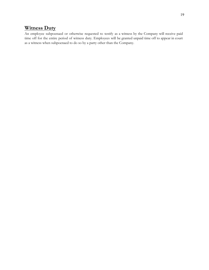# <span id="page-18-0"></span>**Witness Duty**

An employee subpoenaed or otherwise requested to testify as a witness by the Company will receive paid time off for the entire period of witness duty. Employees will be granted unpaid time off to appear in court as a witness when subpoenaed to do so by a party other than the Company.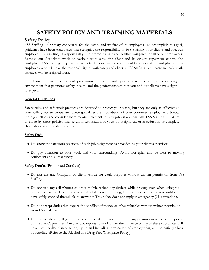# <span id="page-19-0"></span>**SAFETY POLICY AND TRAINING MATERIALS**

#### <span id="page-19-1"></span>**Safety Policy**

FSS Staffing 's primary concern is for the safety and welfare of its employees. To accomplish this goal, guidelines have been established that recognize the responsibility of FSS Staffing , our clients, and you, our employee. FSS Staffing 's responsibility is to promote a safe and healthy workplace for all of our employees. Because our Associates work on various work sites, the client and its on-site supervisor control the workplace. FSS Staffing expects its clients to demonstrate a commitment to accident-free workplaces. Only employees who will take the responsibility to work safely and observe FSS Staffing and customer safe work practices will be assigned work.

Our team approach to accident prevention and safe work practices will help create a working environment that promotes safety, health, and the professionalism that you and our clients have a right to expect.

#### **General Guidelines**

Safety rules and safe work practices are designed to protect your safety, but they are only as effective as your willingness to cooperate. These guidelines are a condition of your continued employment. Know these guidelines and consider them required elements of any job assignment with FSS Staffing . Failure to abide by these policies may result in termination of your job assignment or in reduction or complete elimination of any related benefits.

#### **Safety Do's**

- Do know the safe work practices of each job assignment as provided by your client supervisor.
- **●** Do pay attention to your work and your surroundings. Avoid horseplay and be alert to moving equipment and all machinery.

#### **Safety Don'ts (Prohibited Conduct)**

- Do not use any Company or client vehicle for work purposes without written permission from FSS Staffing .
- Do not use any cell phones or other mobile technology devices while driving, even when using the phone hands-free. If you receive a call while you are driving, let it go to voicemail or wait until you have safely stopped the vehicle to answer it. This policy does not apply in emergency (911) situations.
- Do not accept duties that require the handling of money or other valuables without written permission from FSS Staffing .
- Do not use alcohol, illegal drugs, or controlled substances on Company premises or while on the job or on the client's premises. Anyone who reports to work under the influence of any of these substances will be subject to disciplinary action, up to and including termination of employment, and potentially a loss of benefits. (Refer to the Alcohol and Drug Free Workplace Policy.)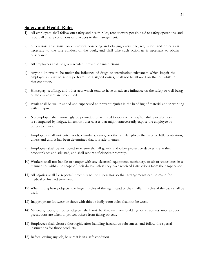#### <span id="page-20-0"></span>**Safety and Health Rules**

- 1) All employees shall follow our safety and health rules, render every-possible aid to safety operations, and report all unsafe conditions or practices to the management.
- 2) Supervisors shall insist on employees observing and obeying every rule, regulation, and order as is necessary to the safe conduct of the work, and shall take such action as is necessary to obtain observance.
- 3) All employees shall be given accident prevention instructions.
- 4) Anyone known to be under the influence of drugs or intoxicating substances which impair the employee's ability to safely perform the assigned duties, shall not be allowed on the job while in that condition.
- 5) Horseplay, scuffling, and other acts which tend to have an adverse influence on the safety or well-being of the employees are prohibited.
- 6) Work shall be well planned and supervised to prevent injuries in the handling of material and in working with equipment.
- 7) No employee shall knowingly be permitted or required to work while his/her ability or alertness is so impaired by fatigue, illness, or other causes that might unnecessarily expose the employee or others to injury.
- 8) Employees shall not enter voids, chambers, tanks, or other similar places that receive little ventilation, unless and until it has been determined that it is safe to enter.
- 9) Employees shall be instructed to ensure that all guards and other protective devices are in their proper places and adjusted, and shall report deficiencies promptly.
- 10) Workers shall not handle or tamper with any electrical equipment, machinery, or air or water lines in a manner not within the scope of their duties, unless they have received instructions from their supervisor.
- 11) All injuries shall be reported promptly to the supervisor so that arrangements can be made for medical or first aid treatment.
- 12) When lifting heavy objects, the large muscles of the leg instead of the smaller muscles of the back shall be used.
- 13) Inappropriate footwear or shoes with thin or badly worn soles shall not be worn.
- 14) Materials, tools, or other objects shall not be thrown from buildings or structures until proper precautions are taken to protect others from falling objects.
- 15) Employees shall cleanse thoroughly after handling hazardous substances, and follow the special instructions for those products.
- 16) Before leaving any job, be sure it is in a safe condition.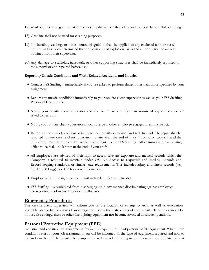- 17) Work shall be arranged so that employees are able to face the ladder and use both hands while climbing.
- 18) Gasoline shall not be used for cleaning purposes.
- 19) No burning, welding, or other source of ignition shall be applied to any enclosed tank or vessel until it has first been determined that no possibility of explosion exists and authority for the work is obtained from their supervisor.
- 20) Any damage to scaffolds, falsework, or other supporting structures shall be immediately reported to the supervisor and repaired before use.

#### **Reporting Unsafe Conditions and Work Related Accidents and Injuries**

- Contact FSS Staffing immediately if you are asked to perform duties other than those specified by your assignment.
- Report any unsafe conditions immediately to your on-site client supervisor as well as your FSS Staffing Personnel Coordinator.
- Notify your on-site client supervisor and ask for instructions if you are unsure of any job task you are asked to perform.
- Notify your on-site client supervisor if you observe another employee engaged in an unsafe act.
- Report any on-the-job accident or injury to your on-site supervisor and seek first aid. The injury shall be reported to your on-site client supervisor no later than the end of the shift on which you suffered the injury. You must also report any work related injury to the FSS Staffing office immediately – by using office voice mail –no later than the end of your shift.
- All employees are advised of their right to access relevant exposure and medical records which the Company is required to maintain under OSHA's Access to Exposure and Medical Records and Record-keeping standards, or similar state requirements. This includes injury and illness records (i.e., OSHA 300 Logs). See HR for more information.
- Employees have the right to report work-related injuries and illnesses.
- FSS Staffing is prohibited from discharging or in any manner discriminating against employees for reporting work-related injuries and illnesses.

## <span id="page-21-0"></span>**Emergency Procedures**

The on-site client supervisor will inform you of the location of emergency exits as well as evacuation assembly points. In the event of an emergency, follow the instructions of your on-site client supervisor. Do not use fire extinguishers or other fire fighting equipment nor become involved in rescue operations.

## <span id="page-21-1"></span>**Personal Protective Equipment (PPE)**

Industrial and construction assignments frequently require the use of personal safety equipment. When these conditions exist at your job assignment, you will be informed of the type of equipment required and how to use and care for it. The on-site client supervisor will provide the equipment. It is your responsibility to use it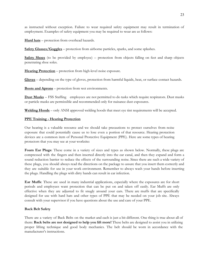as instructed without exception. Failure to wear required safety equipment may result in termination of employment. Examples of safety equipment you may be required to wear are as follows:

**Hard hats** – protection from overhead hazards.

**Safety Glasses/Goggles** – protection from airborne particles, sparks, and some splashes.

**Safety Shoes** (to be provided by employee) – protection from objects falling on feet and sharp objects penetrating shoe soles.

**Hearing Protection** – protection from high-level noise exposure.

**Gloves** – depending on the type of gloves, protection from harmful liquids, heat, or surface contact hazards.

**Boots and Aprons** – protection from wet environments.

**Dust Masks** – FSS Staffing employees are not permitted to do tasks which require respirators. Dust masks or particle masks are permissible and recommended only for nuisance dust exposures.

**Welding Hoods** – only ANSI approved welding hoods that meet eye tint requirements will be accepted.

#### **PPE Training - Hearing Protection**

Our hearing is a valuable resource and we should take precautions to protect ourselves from noise exposure that could potentially cause us to lose even a portion of that resource. Hearing protection devices are a common item of Personal Protective Equipment (PPE). Here are some types of hearing protectors that you may see at your worksite:

**Foam Ear Plugs**: These come in a variety of sizes and types as shown below. Normally, these plugs are compressed with the fingers and then inserted directly into the ear canal, and then they expand and form a sound reduction barrier to reduce the effects of the surrounding noise. Since there are such a wide variety of these plugs, you should always read the directions on the package to assure that you insert them correctly and they are suitable for use in your work environment. Remember to always wash your hands before inserting the plugs. Handling the plugs with dirty hands can result in ear infection.

**Ear Muffs**: These are used in many industrial applications, especially where the exposures are for short periods and employees want protection that can be put on and taken off easily. Ear Muffs are only effective when they are adjusted to fit snugly around your ears. There are muffs that are specifically designed for use with hard hats and other types of PPE that may be needed on your job site. Always consult with your supervisor if you have questions about the use and care of your PPE.

#### **Back Belt Safety**

There are a variety of Back Belts on the market and each is just a bit different. One thing is true about all of them: **Back belts are not designed to help you lift more!** These belts are designed to assist you in utilizing proper lifting technique and good body mechanics. The belt should be worn in accordance with the manufacturer's instructions.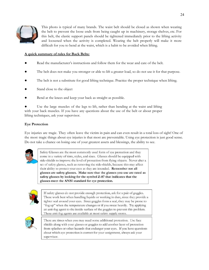

This photo is typical of many brands. The waist belt should be closed as shown when wearing the belt to prevent the loose ends from being caught up in machinery, storage shelves, etc. For this belt, the elastic support panels should be tightened immediately prior to the lifting activity and loosened when the activity is completed. Wearing the belt properly will make it more difficult for you to bend at the waist, which is a habit to be avoided when lifting.

#### **A quick summary of rules for Back Belts:**

- Read the manufacturer's instructions and follow them for the wear and care of the belt.
- The belt does not make you stronger or able to lift a greater load, so do not use it for that purpose.
- The belt is not a substitute for good lifting technique. Practice the proper technique when lifting.
- Stand close to the object
- Bend at the knees and keep your back as straight as possible.

Use the large muscles of the legs to lift, rather than bending at the waist and lifting with your back muscles. If you have any questions about the use of the belt or about proper lifting techniques, ask your supervisor.

#### **Eye Protection**

Eye injuries are tragic. They often leave the victim in pain and can even result in a total loss of sight! One of the most tragic things about eye injuries is that most are preventable. Using eye protection is just good sense. Do not take a chance on losing one of your greatest assets and blessings, the ability to see.



Safety Glasses are the most commonly used form of eye protection and they come in a variety of tints, styles, and sizes. Glasses should be equipped with side-shields to improve the level of protection from flying objects. Never alter a set of safety glasses, such as removing the side-shields, because this may affect their ability to protect your eyes as they are intended. Remember not all glasses are safety glasses. Make sure that the glasses you use are rated as safety glasses by looking for the symbol Z-87 that indicates that the glasses meet the ANSI standard for eye protection.



If safety glasses do not provide enough protection, ask for a pair of goggles. These work best when handling liquids or working in dust, since they provide a tighter seal around your eyes. Since goggles form a seal, they may be prone to "fog up" when the temperature changes or if you sweat heavily. Try applying an anti-fog agent to the inside surface of the goggles to prevent this problem. These anti-fog agents are available at most safety supply stores.



There are times when you may need some additional protection. Use face shields along with your glasses or goggles to add another layer of protection from splashes or other hazards that endanger your eyes. If you have questions about which eye protection is correct for your assignment, always ask your supervisor.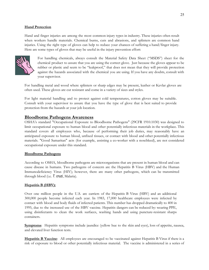#### **Hand Protection**

Hand and finger injuries are among the most common injury types in industry. These injuries often result when workers handle materials. Chemical burns, cuts and abrasions, and splinters are common hand injuries. Using the right type of gloves can help to reduce your chances of suffering a hand/finger injury. Here are some types of gloves that may be useful in the injury prevention effort:



For handling chemicals, always consult the Material Safety Data Sheet ("MSDS") sheet for the chemical product to assure that you are using the correct glove. Just because the gloves appear to be rubber or plastic and seem to be "leakproof," that does not mean that they will provide protection against the hazards associated with the chemical you are using. If you have any doubts, consult with your supervisor.

For handling metal and wood where splinters or sharp edges may be present, leather or Kevlar gloves are often used. These gloves are cut resistant and come in a variety of sizes and styles.

For light material handling and to protect against cold temperatures, cotton gloves may be suitable. Consult with your supervisor to assure that you have the type of glove that is best suited to provide protection from the hazards at your job location.

#### <span id="page-24-0"></span>**Bloodborne Pathogens Awareness**

OSHA's standard "Occupational Exposure to Bloodborne Pathogens" (29CFR 1910.1030) was designed to limit occupational exposure to human blood and other potentially infectious materials in the workplace. This standard covers all employees who, because of performing their job duties, may reasonably have an anticipated exposure to human blood, unfixed tissues, or contact with blood and other potentially infectious materials. "Good Samaritan" acts (for example, assisting a co-worker with a nosebleed), are not considered occupational exposure under this standard.

#### **Bloodborne Pathogens**

According to OSHA, bloodborne pathogens are microorganisms that are present in human blood and can cause disease in humans. Two pathogens of concern are the Hepatitis B Virus (HBV) and the Human Immunodeficiency Virus (HIV); however, there are many other pathogens, which can be transmitted through blood (i.e. *T. cruzi*, Malaria).

#### **Hepatitis B (HBV):**

Over one million people in the U.S. are carriers of the Hepatitis B Virus (HBV) and an additional 300,000 people become infected each year. In 1983, 17,000 healthcare employees were infected by contact with blood and body fluids of infected patients. This number has dropped dramatically to 400 in 1995, due to the increased use of the HBV vaccine. Hepatitis dangers can be reduced by: wearing PPE, using disinfectants to clean the work surfaces, washing hands and using puncture-resistant sharps containers.

**Symptoms**: Hepatitis symptoms include jaundice (yellow hue to the skin and eyes), loss of appetite, nausea, and elevated liver function tests.

**Hepatitis B Vaccine**: All employees are encouraged to be vaccinated against Hepatitis B Virus if there is a risk of exposure to blood or other potentially infectious material. The vaccine is administered in a series of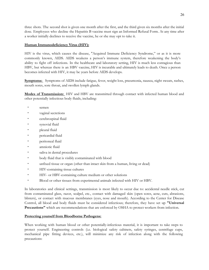three shots. The second shot is given one month after the first, and the third given six months after the initial dose. Employees who decline the Hepatitis B vaccine must sign an Informed Refusal Form. At any time after a worker initially declines to receive the vaccine, he or she may opt to take it.

#### **Human Immunodeficiency Virus (HIV):**

HIV is the virus, which causes the disease, "Acquired Immune Deficiency Syndrome," or as it is more commonly known, AIDS. AIDS weakens a person's immune system, therefore weakening the body's ability to fight off infections. In the healthcare and laboratory setting, HIV is much less contagious than HBV, but whereas there is an HBV vaccine, HIV is incurable and ultimately leads to death. Once a person becomes infected with HIV, it may be years before AIDS develops.

**Symptoms:** Symptoms of AIDS include fatigue, fever, weight loss, pneumonia, nausea, night sweats, rashes, mouth sores, sore throat, and swollen lymph glands.

**Modes of Transmission:** HIV and HBV are transmitted through contact with infected human blood and other potentially infectious body fluids, including:

- semen
- vaginal secretions
- cerebrospinal fluid
- synovial fluid
- pleural fluid
- pericardial fluid
- peritoneal fluid
- amniotic fluid
- saliva in dental procedures
- body fluid that is visibly contaminated with blood
- unfixed tissue or organ (other than intact skin from a human, living or dead)
- HIV-containing tissue cultures
- HIV- or HBV-containing culture medium or other solutions
- Blood or other tissues from experimental animals infected with HIV or HBV.

In laboratories and clinical settings, transmission is most likely to occur due to: accidental needle stick, cut from contaminated glass, razor, scalpel, etc., contact with damaged skin (open sores, acne, cuts, abrasions, blisters), or contact with mucous membranes (eyes, nose and mouth). According to the Center for Disease Control, all blood and body fluids must be considered infectious; therefore, they have set up **"Universal Precautions"** which are recommendations that are enforced by OSHA to protect workers from infection.

#### **Protecting yourself from Bloodborne Pathogens:**

When working with human blood or other potentially-infectious material, it is important to take steps to protect yourself. Engineering controls (i.e. biological safety cabinets, safety syringes, centrifuge cups, mechanical pipe fitting devices, etc.), will minimize any risk of infection along with the following precautions: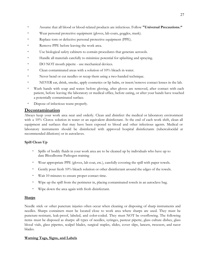- Assume that all blood or blood-related products are infectious. Follow **"Universal Precautions."**
- Wear personal protective equipment (gloves, lab coats, goggles, mask).
- Replace torn or defective personal protective equipment (PPE).
- Remove PPE before leaving the work area.
- Use biological safety cabinets to contain procedures that generate aerosols.
- Handle all materials carefully to minimize potential for splashing and spraying.
- DO NOT mouth pipette use mechanical devices.
- Clean contaminated areas with a solution of 10% bleach in water.
- Never bend or cut needles or recap them using a two-handed technique.
- NEVER eat, drink, smoke, apply cosmetics or lip balm, or insert/remove contact lenses in the lab.
- Wash hands with soap and water: before gloving, after gloves are removed, after contact with each patient, before leaving the laboratory or medical office, before eating, or after your hands have touched a potentially contaminated surface.
- Dispose of infectious waste properly.

## <span id="page-26-0"></span>**Decontamination**

Always keep your work area neat and orderly. Clean and disinfect the medical or laboratory environment with a 10% Clorox solution in water or an equivalent disinfectant. At the end of each work shift, clean all equipment and surfaces that may have been exposed to blood and other infectious agents. Medical or laboratory instruments should be disinfected with approved hospital disinfectants (tuberculocidal at recommended dilutions) or in autoclaves.

#### **Spill Clean Up**

- Spills of bodily fluids in your work area are to be cleaned up by individuals who have up to date Bloodborne Pathogen training
- Wear appropriate PPE (gloves, lab coat, etc.), carefully covering the spill with paper towels.
- Gently pour fresh 10% bleach solution or other disinfectant around the edges of the towels.
- Wait 10 minutes to ensure proper contact time.
- Wipe up the spill from the perimeter in, placing contaminated towels in an autoclave bag.
- Wipe down the area again with fresh disinfectant.

#### **Sharps**

Needle stick or other puncture injuries often occur when cleaning or disposing of sharp instruments and needles. Sharps containers must be located close to work area where sharps are used. They must be puncture-resistant, leak-proof, labeled, and color-coded. They must NOT be overflowing. The following items must be disposed as sharps: all types of needles, syringes, pasteur pipette, glass culture dishes, glass blood vials, glass pipettes, scalpel blades, surgical staples, slides, cover slips, lancets, tweezers, and razor blades.

#### **Warning Tags, Signs, and Labels**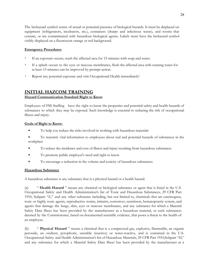The biohazard symbol warns of actual or potential presence of biological hazards. It must be displayed on equipment (refrigerators, incubators, etc.), containers (sharps and infectious waste), and rooms that contain, or are contaminated with hazardous biological agents. Labels must have the biohazard symbol visibly displayed on a fluorescent orange or red background.

#### **Emergency Procedures**

- If an exposure occurs, wash the affected area for 15 minutes with soap and water.
- If a splash occurs to the eyes or mucous membranes, flush the affected area with running water for at least 15 minutes can be improved by prompt action.
- Report any potential exposure and visit Occupational Health immediately!

## <span id="page-27-0"></span>**INITIAL HAZCOM TRAINING Hazard Communication Standard Right to Know**

Employees of FSS Staffing have the right to know the properties and potential safety and health hazards of substances to which they may be exposed. Such knowledge is essential to reducing the risk of occupational illness and injury.

#### **Goals of Right to Know:**

- To help you reduce the risks involved in working with hazardous materials
- To transmit vital information to employees about real and potential hazards of substances in the workplace
- To reduce the incidence and cost of illness and injury resulting from hazardous substances
- To promote public employer's need and right to know
- To encourage a reduction in the volume and toxicity of hazardous substances

#### **Hazardous Substance**

A hazardous substance is any substance that is a physical hazard or a health hazard.

(a) " **Health Hazard** " means any chemical or biological substance or agent that is listed in the U.S. Occupational Safety and Health Administration's list of Toxic and Hazardous Substances, 29 CFR Part 1910, Subpart "Z," and any other substance including, but not limited to, chemicals that are carcinogens, toxic or highly toxic agents, reproductive toxins, irritants, corrosives, sensitizers, hematopoietic system, and agents that damage the lungs, skin, eyes or mucous membranes, and any substance for which a Material Safety Data Sheet has been provided by the manufacturer as a hazardous material, or such substances deemed by the Commissioner, based on documented scientific evidence, that poses a threat to the health of an employee.

(b) " **Physical Hazard** " means a chemical that is a compressed gas, explosive, flammable, an organic peroxide, an oxidizer, pyrophoric, unstable (reactive) or water-reactive, and is contained in the U.S. Occupational Safety and Health Administration's list of Hazardous Materials, 29 CFR Part 1910,Subpart "H," and any substance for which a Material Safety Data Sheet has been provided by the manufacturer as a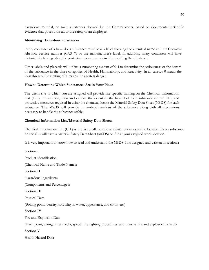hazardous material, or such substances deemed by the Commissioner, based on documented scientific evidence that poses a threat to the safety of an employee.

#### **Identifying Hazardous Substances**

Every container of a hazardous substance must bear a label showing the chemical name and the Chemical Abstract Service number (CAS #) or the manufacturer's label. In addition, many containers will have pictorial labels suggesting the protective measures required in handling the substance.

Other labels and placards will utilize a numbering system of 0-4 to determine the seriousness or the hazard of the substance in the three categories of Health, Flammability, and Reactivity. In all cases, a 0 means the least threat while a rating of 4 means the greatest danger.

#### **How to Determine Which Substances Are in Your Place**

The client site to which you are assigned will provide site-specific training on the Chemical Information List (CIL). In addition, train and explain the extent of the hazard of each substance on the CIL, and protective measures required in using the chemical, locate the Material Safety Data Sheet (MSDS) for each substance. The MSDS will provide an in-depth analysis of the substance along with all precautions necessary to handle the substance safely.

#### **Chemical Information List/Material Safety Data Sheets**

Chemical Information List (CIL) is the list of all hazardous substances in a specific location. Every substance on the CIL will have a Material Safety Data Sheet (MSDS) on file at your assigned work location.

It is very important to know how to read and understand the MSDS. It is designed and written in sections:

#### **Section I**

Product Identification

(Chemical Name and Trade Names)

#### **Section II**

Hazardous Ingredients

(Components and Percentages)

#### **Section III**

Physical Data

(Boiling point, density, solubility in water, appearance, and color, etc.)

#### **Section IV**

Fire and Explosion Data

(Flash point, extinguisher media, special fire fighting procedures, and unusual fire and explosion hazards)

#### **Section V**

Health Hazard Data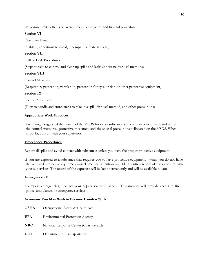(Exposure limits, effects of overexposure, emergency and first aid procedure

#### **Section VI**

Reactivity Data

(Stability, conditions to avoid, incompatible materials, etc.)

#### **Section VII**

Spill or Leak Procedures

(Steps to take to control and clean up spills and leaks and waste disposal methods)

#### **Section VIII**

Control Measures

(Respiratory protection, ventilation, protection for eyes or skin or other protective equipment)

#### **Section IX**

Special Precautions

(How to handle and store, steps to take in a spill, disposal method, and other precautions)

#### **Appropriate Work Practices**

It is strongly suggested that you read the MSDS for every substance you come in contact with and utilize the control measures (protective measures) and the special precautions delineated on the MSDS. When in doubt, consult with your supervisor.

#### **Emergency Procedures**

Report all spills and avoid contact with substances unless you have the proper protective equipment.

If you are exposed to a substance that requires you to have protective equipment—when you do not have the required protective equipment—seek medical attention and file a written report of the exposure with your supervisor. The record of the exposure will be kept permanently and will be available to you.

#### **Emergency 911**

To report emergencies, Contact your supervisor or Dial 911. This number will provide access to fire, police, ambulance, or emergency services.

#### **Acronyms You May Wish to Become Familiar With:**

- **OSHA** Occupational Safety & Health Act
- **EPA** Environmental Protection Agency
- **NRC** National Response Center (Coast Guard)
- **DOT** Department of Transportation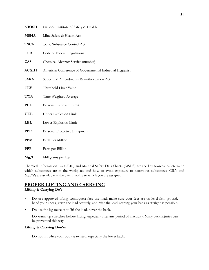| <b>NIOSH</b> | National Institute of Safety & Health                    |
|--------------|----------------------------------------------------------|
| <b>MSHA</b>  | Mine Safety & Health Act                                 |
| <b>TSCA</b>  | Toxic Substance Control Act                              |
| <b>CFR</b>   | Code of Federal Regulations                              |
| <b>CAS</b>   | Chemical Abstract Service (number)                       |
| <b>ACGIH</b> | American Conference of Governmental Industrial Hygienist |
| <b>SARA</b>  | Superfund Amendments Re-authorization Act                |
| TLV          | Threshold Limit Value                                    |
| <b>TWA</b>   | Time Weighted Average                                    |
| <b>PEL</b>   | Personal Exposure Limit                                  |
| <b>UEL</b>   | <b>Upper Explosion Limit</b>                             |
| <b>LEL</b>   | Lower Explosion Limit                                    |
| <b>PPE</b>   | Personal Protective Equipment                            |
| <b>PPM</b>   | Parts Per Million                                        |
| <b>PPB</b>   | Parts per Billion                                        |
| Mg/l         | Milligrams per liter                                     |

Chemical Information Lists (CIL) and Material Safety Data Sheets (MSDS) are the key sources to determine which substances are in the workplace and how to avoid exposure to hazardous substances. CIL's and MSDS's are available at the client facility to which you are assigned.

# <span id="page-30-0"></span>**PROPER LIFTING AND CARRYING**

#### **Lifting & Carrying Do's**

- Do use approved lifting techniques: face the load, make sure your feet are on level firm ground, bend your knees, grasp the load securely, and raise the load keeping your back as straight as possible.
- Do use the leg muscles to lift the load, never the back.
- Do warm up stretches before lifting, especially after any period of inactivity. Many back injuries can be prevented this way.

#### **Lifting & Carrying Don'ts**

▪ Do not lift while your body is twisted, especially the lower back.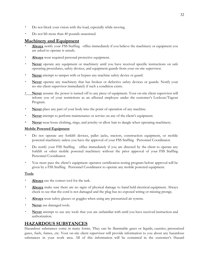- Do not block your vision with the load, especially while moving.
- Do not lift more than 40 pounds unassisted.

## <span id="page-31-0"></span>**Machinery and Equipment**

- Always notify your FSS Staffing office immediately if you believe the machinery or equipment you are asked to operate is unsafe.
- Always wear required personal protective equipment.
- **Never** operate any equipment or machinery until you have received specific instructions on safe operating procedures, safety devices, and equipment guards from your on-site supervisor.
- **Never** attempt to tamper with or bypass any machine safety device or guard.
- **Never** operate any machinery that has broken or defective safety devices or guards. Notify your no-site client supervisor immediately if such a condition exists.
- **Never** assume the power is turned off to any piece of equipment. Your on-site client supervisor will inform you of your restrictions as an affected employee under the customer's Lockout/Tagout Program.
- **Never** place any part of your body into the point of operation of any machine.
- **Never** attempt to perform maintenance or service on any of the client's equipment.
- Never wear loose clothing, rings, and jewelry or allow hair to dangle when operating machinery.

#### **Mobile Powered Equipment**

- Do not operate any forklift devices, pallet jacks, tractors, construction equipment, or mobile powered machinery unless you have the approval of your FSS Staffing Personnel Coordinator.
- Do notify your FSS Staffing office immediately if you are directed by the client to operate any forklift or other mobile powered machinery without the prior approval of your FSS Staffing Personnel Coordinator.
- You must pass the client's equipment operator certification testing program before approval will be given by a FSS Staffing Personnel Coordinator to operate any mobile powered equipment.

#### **Tools**

- Always use the correct tool for the task.
- **Always** make sure there are no signs of physical damage to hand held electrical equipment. Always check to see that the cord is not damaged and the plug has no exposed wiring or missing prongs.
- **Always** wear safety glasses or goggles when using any pressurized air system.
- **Never** use damaged tools.
- **Never** attempt to use any tools that you are unfamiliar with until you have received instruction and authorization.

## <span id="page-31-1"></span>**HAZARDOUS SUBSTANCES**

Hazardous substances come in many forms. They can be flammable gases or liquids, caustics, pressurized gases, fuels, fumes, etc. Your on-site client supervisor will provide information to you about any hazardous substances in your work area. All of this information will be contained in the customer's Hazard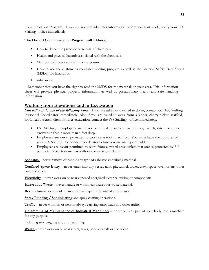Communication Program. If you are not provided this information before you start work, notify your FSS Staffing office immediately.

#### **The Hazard Communication Program will address:**

- How to detect the presence or release of chemicals.
- Health and physical hazards associated with the chemicals.
- Methods to protect yourself from exposure.
- How to use the customer's container labeling program as well as the Material Safety Data Sheets (MSDS) for hazardous
- substances.

\* Remember that you have the right to read the MSDS for the materials in your area. This information sheet will provide physical property information as well as precautionary health and safe handling information.

## <span id="page-32-0"></span>**Working from Elevations and in Excavation**

*You will not do any of the following work*. If you are asked or directed to do so, contact your FSS Staffing Personnel Coordinator immediately. Also if you are asked to work from a ladder, cherry picker, scaffold, roof, near a trench, ditch or other excavation, contact the FSS Staffing office immediately.

- FSS Staffing employees are **never** permitted to work in or near any trench, ditch, or other excavation that is more than 4 feet deep.
- Employees are **never** permitted to work on a roof or scaffold. You must have the approval of your FSS Staffing Personnel Coordinator before you use any type of ladder.
- Employees are **never** permitted to work from elevated areas unless that area is protected by full perimeter protection such as walls or complete guardrails.

**Asbestos** – never remove or handle any type of asbestos containing material.

**Confined Space Entry** – never enter into any vessel, tank, pit, tunnel, tower, crawl-space, oven or any other enclosed space.

**Electricity** – never work on or near exposed energized electrical wiring or components.

**Hazardous Waste** – never handle or work near hazardous waste material.

**Respirators** – never work in an area that requires the use of a respirator.

**Spray Painting / Sandblasting** and spray coating operations.

**Traffic** – never work on or near roadways carrying auto, truck and other traffic.

**Unjamming or Maintenance of Industrial Machinery** – never put any part of your body into a machine for any purpose

including servicing, repair, or unjamming.

Water<sub>-</sub> never work on or near rivers, lakes, ponds, canals or the ocean.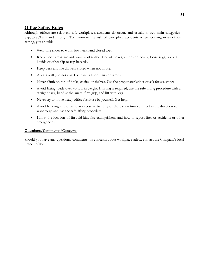## <span id="page-33-0"></span>**Office Safety Rules**

Although offices are relatively safe workplaces, accidents do occur, and usually in two main categories: Slip/Trip/Falls and Lifting. To minimize the risk of workplace accidents when working in an office setting, you should:

- Wear safe shoes to work, low heels, and closed toes.
- Keep floor areas around your workstation free of boxes, extension cords, loose rugs, spilled liquids or other slip or trip hazards.
- Keep desk and file drawers closed when not in use.
- Always walk, do not run. Use handrails on stairs or ramps.
- Never climb on top of desks, chairs, or shelves. Use the proper stepladder or ask for assistance.
- Avoid lifting loads over 40 lbs. in weight. If lifting is required, use the safe lifting procedure with a straight back, bend at the knees, firm grip, and lift with legs.
- Never try to move heavy office furniture by yourself. Get help.
- Avoid bending at the waist or excessive twisting of the back turn your feet in the direction you want to go and use the safe lifting procedure.
- Know the location of first-aid kits, fire extinguishers, and how to report fires or accidents or other emergencies.

#### **Questions/Comments/Concerns**

Should you have any questions, comments, or concerns about workplace safety, contact the Company's local branch office.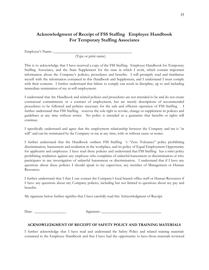## <span id="page-34-0"></span>**Acknowledgment of Receipt of FSS Staffing Employee Handbook For Temporary Staffing Associates**

Employee's Name: \_\_\_\_\_\_\_\_\_\_\_\_\_\_\_\_\_\_\_\_\_\_\_\_\_\_\_\_\_\_\_\_\_\_\_\_\_\_\_\_\_\_

(Type or print name)

This is to acknowledge that I have received a copy of the FSS Staffing Employee Handbook for Temporary Staffing Associates, and the State Supplement for the state in which I work, which contain important information about the Company's policies, procedures and benefits. I will promptly read and familiarize myself with the information contained in this Handbook and Supplement, and I understand I must comply with their contents. I further understand that failure to comply can result in discipline, up to and including immediate termination of my at-will employment.

I understand that the Handbook and related policies and procedures are not intended to be and do not create contractual commitments or a contract of employment, but are merely descriptions of recommended procedures to be followed and policies necessary for the safe and efficient operation of FSS Staffing . I further understand that FSS Staffing reserves the sole right to revoke, change or supplement its policies and guidelines at any time without notice. No policy is intended as a guarantee that benefits or rights will continue.

I specifically understand and agree that the employment relationship between the Company and me is "at will" and can be terminated by the Company or me at any time, with or without cause or notice.

I further understand that the Handbook outlines FSS Staffing 's "Zero Tolerance" policy prohibiting discrimination, harassment and retaliation in the workplace, and its policy of Equal Employment Opportunity for applicants and employees. I have read these policies and understand that FSS Staffing has a strict policy prohibiting retaliation against any employee who complains of unlawful harassment or discrimination or who participates in any investigation of unlawful harassment or discrimination. I understand that if I have any questions about these policies I should speak to my supervisor, any member of Management or Human Resources.

I further understand that I that I can contact the Company's local branch office staff or Human Resources if I have any questions about any Company policies, including but not limited to questions about my pay and benefits.

My signature below further signifies that I have carefully read this Acknowledgment of Receipt.

Date: \_\_\_\_\_\_\_\_\_\_\_\_\_\_\_\_\_ Signature: \_\_\_\_\_\_\_\_\_\_\_\_\_\_\_\_\_\_\_\_\_\_\_\_\_\_\_\_\_\_\_\_

#### **ACKNOWLEDGMENT OF RECEIPT OF SAFETY POLICY AND TRAINING MATERIALS**

I further acknowledge that I have read and understand the Safety Policy and related training materials contained in the Employee Handbook and that I have had the opportunity to have those materials reviewed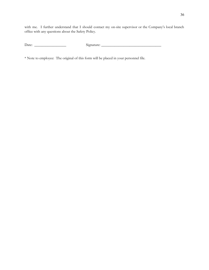with me. I further understand that I should contact my on-site supervisor or the Company's local branch office with any questions about the Safety Policy.

Date: \_\_\_\_\_\_\_\_\_\_\_\_\_\_\_\_\_ Signature: \_\_\_\_\_\_\_\_\_\_\_\_\_\_\_\_\_\_\_\_\_\_\_\_\_\_\_\_\_\_\_\_

\* Note to employee: The original of this form will be placed in your personnel file.